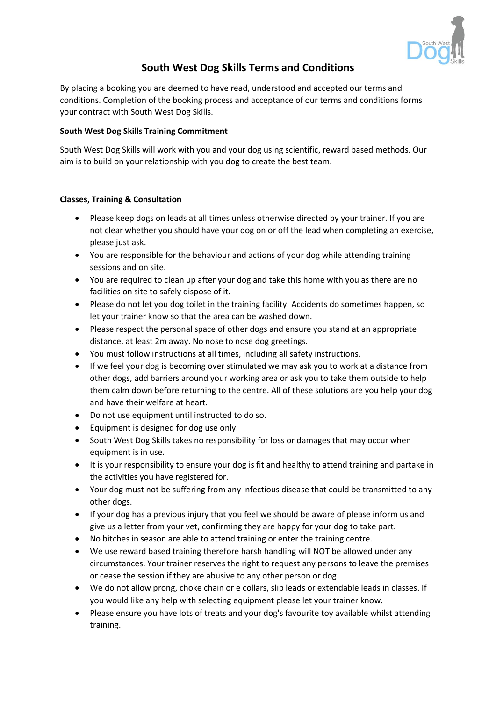

# **South West Dog Skills Terms and Conditions**

By placing a booking you are deemed to have read, understood and accepted our terms and conditions. Completion of the booking process and acceptance of our terms and conditions forms your contract with South West Dog Skills.

## **South West Dog Skills Training Commitment**

South West Dog Skills will work with you and your dog using scientific, reward based methods. Our aim is to build on your relationship with you dog to create the best team.

# **Classes, Training & Consultation**

- Please keep dogs on leads at all times unless otherwise directed by your trainer. If you are not clear whether you should have your dog on or off the lead when completing an exercise, please just ask.
- You are responsible for the behaviour and actions of your dog while attending training sessions and on site.
- You are required to clean up after your dog and take this home with you as there are no facilities on site to safely dispose of it.
- Please do not let you dog toilet in the training facility. Accidents do sometimes happen, so let your trainer know so that the area can be washed down.
- Please respect the personal space of other dogs and ensure you stand at an appropriate distance, at least 2m away. No nose to nose dog greetings.
- You must follow instructions at all times, including all safety instructions.
- If we feel your dog is becoming over stimulated we may ask you to work at a distance from other dogs, add barriers around your working area or ask you to take them outside to help them calm down before returning to the centre. All of these solutions are you help your dog and have their welfare at heart.
- Do not use equipment until instructed to do so.
- Equipment is designed for dog use only.
- South West Dog Skills takes no responsibility for loss or damages that may occur when equipment is in use.
- It is your responsibility to ensure your dog is fit and healthy to attend training and partake in the activities you have registered for.
- Your dog must not be suffering from any infectious disease that could be transmitted to any other dogs.
- If your dog has a previous injury that you feel we should be aware of please inform us and give us a letter from your vet, confirming they are happy for your dog to take part.
- No bitches in season are able to attend training or enter the training centre.
- We use reward based training therefore harsh handling will NOT be allowed under any circumstances. Your trainer reserves the right to request any persons to leave the premises or cease the session if they are abusive to any other person or dog.
- We do not allow prong, choke chain or e collars, slip leads or extendable leads in classes. If you would like any help with selecting equipment please let your trainer know.
- Please ensure you have lots of treats and your dog's favourite toy available whilst attending training.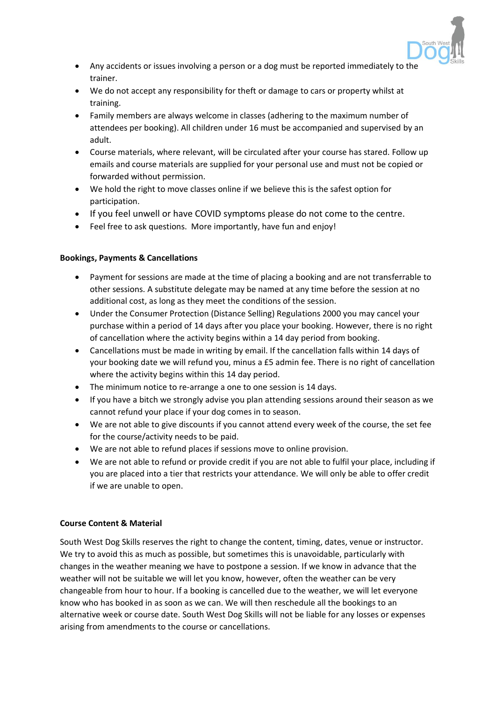

- Any accidents or issues involving a person or a dog must be reported immediately to the trainer.
- We do not accept any responsibility for theft or damage to cars or property whilst at training.
- Family members are always welcome in classes (adhering to the maximum number of attendees per booking). All children under 16 must be accompanied and supervised by an adult.
- Course materials, where relevant, will be circulated after your course has stared. Follow up emails and course materials are supplied for your personal use and must not be copied or forwarded without permission.
- We hold the right to move classes online if we believe this is the safest option for participation.
- If you feel unwell or have COVID symptoms please do not come to the centre.
- Feel free to ask questions. More importantly, have fun and enjoy!

# **Bookings, Payments & Cancellations**

- Payment for sessions are made at the time of placing a booking and are not transferrable to other sessions. A substitute delegate may be named at any time before the session at no additional cost, as long as they meet the conditions of the session.
- Under the Consumer Protection (Distance Selling) Regulations 2000 you may cancel your purchase within a period of 14 days after you place your booking. However, there is no right of cancellation where the activity begins within a 14 day period from booking.
- Cancellations must be made in writing by email. If the cancellation falls within 14 days of your booking date we will refund you, minus a £5 admin fee. There is no right of cancellation where the activity begins within this 14 day period.
- The minimum notice to re-arrange a one to one session is 14 days.
- If you have a bitch we strongly advise you plan attending sessions around their season as we cannot refund your place if your dog comes in to season.
- We are not able to give discounts if you cannot attend every week of the course, the set fee for the course/activity needs to be paid.
- We are not able to refund places if sessions move to online provision.
- We are not able to refund or provide credit if you are not able to fulfil your place, including if you are placed into a tier that restricts your attendance. We will only be able to offer credit if we are unable to open.

### **Course Content & Material**

South West Dog Skills reserves the right to change the content, timing, dates, venue or instructor. We try to avoid this as much as possible, but sometimes this is unavoidable, particularly with changes in the weather meaning we have to postpone a session. If we know in advance that the weather will not be suitable we will let you know, however, often the weather can be very changeable from hour to hour. If a booking is cancelled due to the weather, we will let everyone know who has booked in as soon as we can. We will then reschedule all the bookings to an alternative week or course date. South West Dog Skills will not be liable for any losses or expenses arising from amendments to the course or cancellations.